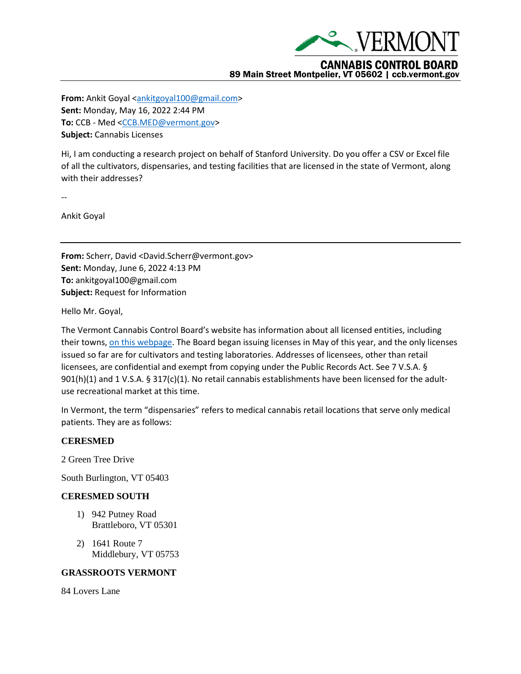

**From:** Ankit Goyal [<ankitgoyal100@gmail.com>](mailto:ankitgoyal100@gmail.com) **Sent:** Monday, May 16, 2022 2:44 PM **To:** CCB - Med [<CCB.MED@vermont.gov>](mailto:CCB.MED@vermont.gov) **Subject:** Cannabis Licenses

Hi, I am conducting a research project on behalf of Stanford University. Do you offer a CSV or Excel file of all the cultivators, dispensaries, and testing facilities that are licensed in the state of Vermont, along with their addresses?

--

Ankit Goyal

**From:** Scherr, David <David.Scherr@vermont.gov> **Sent:** Monday, June 6, 2022 4:13 PM **To:** ankitgoyal100@gmail.com **Subject:** Request for Information

Hello Mr. Goyal,

The Vermont Cannabis Control Board's website has information about all licensed entities, including their towns[, on this webpage.](https://ccb.vermont.gov/licenses) The Board began issuing licenses in May of this year, and the only licenses issued so far are for cultivators and testing laboratories. Addresses of licensees, other than retail licensees, are confidential and exempt from copying under the Public Records Act. See 7 V.S.A. § 901(h)(1) and 1 V.S.A. § 317(c)(1). No retail cannabis establishments have been licensed for the adultuse recreational market at this time.

In Vermont, the term "dispensaries" refers to medical cannabis retail locations that serve only medical patients. They are as follows:

### **CERESMED**

2 Green Tree Drive

South Burlington, VT 05403

### **CERESMED SOUTH**

- 1) 942 Putney Road Brattleboro, VT 05301
- 2) 1641 Route 7 Middlebury, VT 05753

#### **GRASSROOTS VERMONT**

84 Lovers Lane